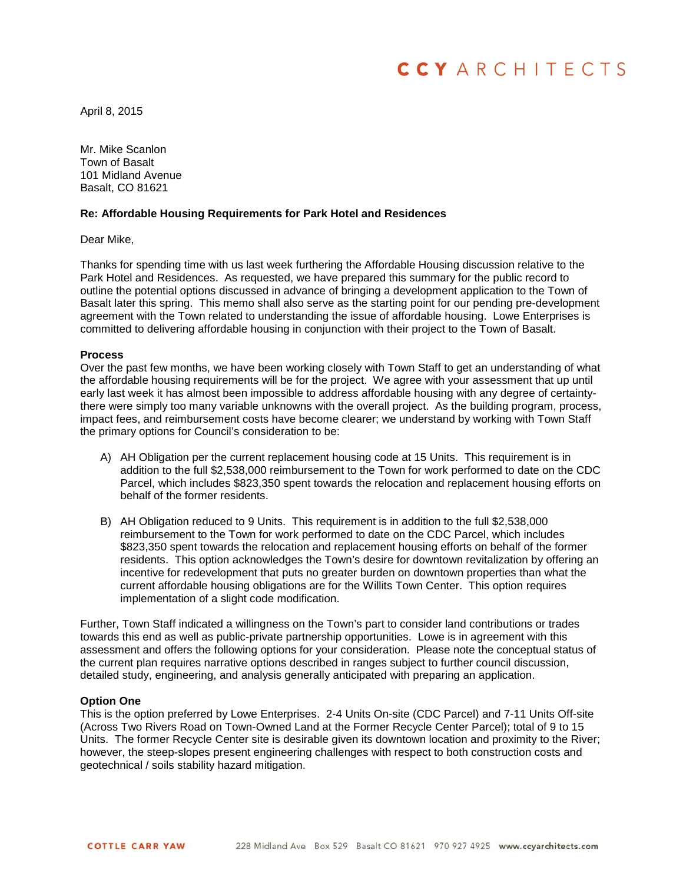# **CCYARCHITECTS**

April 8, 2015

Mr. Mike Scanlon Town of Basalt 101 Midland Avenue Basalt, CO 81621

## **Re: Affordable Housing Requirements for Park Hotel and Residences**

Dear Mike,

Thanks for spending time with us last week furthering the Affordable Housing discussion relative to the Park Hotel and Residences. As requested, we have prepared this summary for the public record to outline the potential options discussed in advance of bringing a development application to the Town of Basalt later this spring. This memo shall also serve as the starting point for our pending pre-development agreement with the Town related to understanding the issue of affordable housing. Lowe Enterprises is committed to delivering affordable housing in conjunction with their project to the Town of Basalt.

#### **Process**

Over the past few months, we have been working closely with Town Staff to get an understanding of what the affordable housing requirements will be for the project. We agree with your assessment that up until early last week it has almost been impossible to address affordable housing with any degree of certaintythere were simply too many variable unknowns with the overall project. As the building program, process, impact fees, and reimbursement costs have become clearer; we understand by working with Town Staff the primary options for Council's consideration to be:

- A) AH Obligation per the current replacement housing code at 15 Units. This requirement is in addition to the full \$2,538,000 reimbursement to the Town for work performed to date on the CDC Parcel, which includes \$823,350 spent towards the relocation and replacement housing efforts on behalf of the former residents.
- B) AH Obligation reduced to 9 Units. This requirement is in addition to the full \$2,538,000 reimbursement to the Town for work performed to date on the CDC Parcel, which includes \$823,350 spent towards the relocation and replacement housing efforts on behalf of the former residents. This option acknowledges the Town's desire for downtown revitalization by offering an incentive for redevelopment that puts no greater burden on downtown properties than what the current affordable housing obligations are for the Willits Town Center. This option requires implementation of a slight code modification.

Further, Town Staff indicated a willingness on the Town's part to consider land contributions or trades towards this end as well as public-private partnership opportunities. Lowe is in agreement with this assessment and offers the following options for your consideration. Please note the conceptual status of the current plan requires narrative options described in ranges subject to further council discussion, detailed study, engineering, and analysis generally anticipated with preparing an application.

#### **Option One**

This is the option preferred by Lowe Enterprises. 2-4 Units On-site (CDC Parcel) and 7-11 Units Off-site (Across Two Rivers Road on Town-Owned Land at the Former Recycle Center Parcel); total of 9 to 15 Units. The former Recycle Center site is desirable given its downtown location and proximity to the River; however, the steep-slopes present engineering challenges with respect to both construction costs and geotechnical / soils stability hazard mitigation.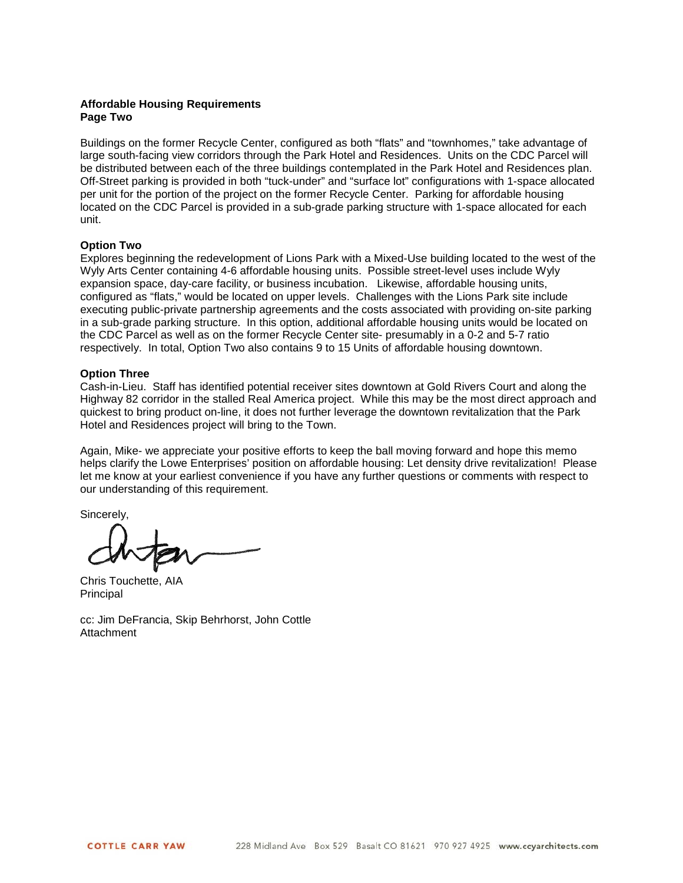## **Affordable Housing Requirements Page Two**

Buildings on the former Recycle Center, configured as both "flats" and "townhomes," take advantage of large south-facing view corridors through the Park Hotel and Residences. Units on the CDC Parcel will be distributed between each of the three buildings contemplated in the Park Hotel and Residences plan. Off-Street parking is provided in both "tuck-under" and "surface lot" configurations with 1-space allocated per unit for the portion of the project on the former Recycle Center. Parking for affordable housing located on the CDC Parcel is provided in a sub-grade parking structure with 1-space allocated for each unit.

## **Option Two**

Explores beginning the redevelopment of Lions Park with a Mixed-Use building located to the west of the Wyly Arts Center containing 4-6 affordable housing units. Possible street-level uses include Wyly expansion space, day-care facility, or business incubation. Likewise, affordable housing units, configured as "flats," would be located on upper levels. Challenges with the Lions Park site include executing public-private partnership agreements and the costs associated with providing on-site parking in a sub-grade parking structure. In this option, additional affordable housing units would be located on the CDC Parcel as well as on the former Recycle Center site- presumably in a 0-2 and 5-7 ratio respectively. In total, Option Two also contains 9 to 15 Units of affordable housing downtown.

## **Option Three**

Cash-in-Lieu. Staff has identified potential receiver sites downtown at Gold Rivers Court and along the Highway 82 corridor in the stalled Real America project. While this may be the most direct approach and quickest to bring product on-line, it does not further leverage the downtown revitalization that the Park Hotel and Residences project will bring to the Town.

Again, Mike- we appreciate your positive efforts to keep the ball moving forward and hope this memo helps clarify the Lowe Enterprises' position on affordable housing: Let density drive revitalization! Please let me know at your earliest convenience if you have any further questions or comments with respect to our understanding of this requirement.

Sincerely,

Chris Touchette, AIA Principal

cc: Jim DeFrancia, Skip Behrhorst, John Cottle **Attachment**